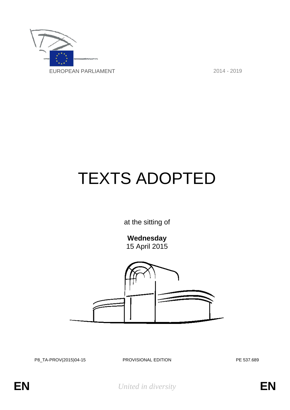

# TEXTS ADOPTED

at the sitting of

**Wednesday**

15 April 2015



P8\_TA-PROV(2015)04-15 PROVISIONAL EDITION PE 537.689

**EN** *United in diversity* **EN**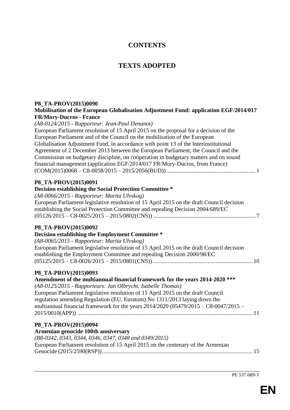# **CONTENTS**

# **TEXTS ADOPTED**

# **P8\_TA-PROV(2015)0090 Mobilisation of the European Globalisation Adjustment Fund: application EGF/2014/017 FR/Mory-Ducros - France** *(A8-0124/2015 - Rapporteur: Jean-Paul Denanot)* European Parliament resolution of 15 April 2015 on the proposal for a decision of the European Parliament and of the Council on the mobilisation of the European Globalisation Adjustment Fund, in accordance with point 13 of the Interinstitutional Agreement of 2 December 2013 between the European Parliament, the Council and the Commission on budgetary discipline, on cooperation in budgetary matters and on sound financial management (application EGF/2014/017 FR/Mory-Ducros, from France) (COM(2015)0068 – C8-0058/2015 – 2015/2056(BUD))............................................................. 1 **P8\_TA-PROV(2015)0091 Decision establishing the Social Protection Committee \*** *(A8-0066/2015 - Rapporteur: Marita Ulvskog)* European Parliament legislative resolution of 15 April 2015 on the draft Council decision establishing the Social Protection Committee and repealing Decision 2004/689/EC (05126/2015 – C8-0025/2015 – 2015/0802(CNS)) ...................................................................... 7 **P8\_TA-PROV(2015)0092 Decision establishing the Employment Committee \*** *(A8-0065/2015 - Rapporteur: Marita Ulvskog)* European Parliament legislative resolution of 15 April 2015 on the draft Council decision establishing the Employment Committee and repealing Decision 2000/98/EC (05125/2015 – C8-0026/2015 – 2015/0801(CNS)) .................................................................... 10 **P8\_TA-PROV(2015)0093 Amendment of the multiannual financial framework for the years 2014-2020 \*\*\*** *(A8-0125/2015 - Rapporteurs: Jan Olbrycht, Isabelle Thomas)* European Parliament legislative resolution of 15 April 2015 on the draft Council regulation amending Regulation (EU, Euratom) No 1311/2013 laying down the multiannual financial framework for the years 2014/2020 (05479/2015 – C8-0047/2015 – 2015/0010(APP)) ........................................................................................................................ 11 **P8\_TA-PROV(2015)0094 Armenian genocide 100th anniversary** *(B8-0342, 0343, 0344, 0346, 0347, 0348 and 0349/2015)* European Parliament resolution of 15 April 2015 on the centenary of the Armenian Genocide (2015/2590(RSP))....................................................................................................... 15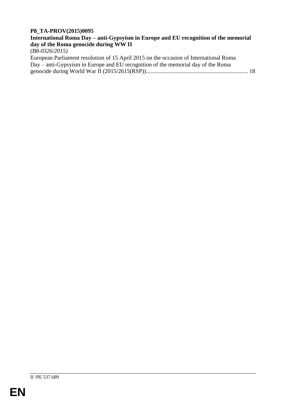### **P8\_TA-PROV(2015)0095**

# **International Roma Day – anti-Gypsyism in Europe and EU recognition of the memorial day of the Roma genocide during WW II**

*(B8-0326/2015)*

| European Parliament resolution of 15 April 2015 on the occasion of International Roma |  |
|---------------------------------------------------------------------------------------|--|
| Day – anti-Gypsyism in Europe and EU recognition of the memorial day of the Roma      |  |
|                                                                                       |  |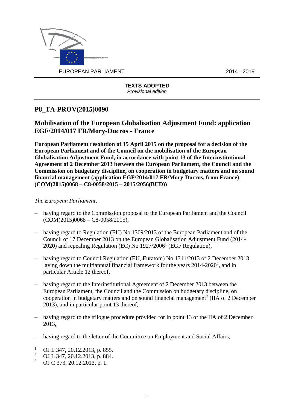

# **P8\_TA-PROV(2015)0090**

# **Mobilisation of the European Globalisation Adjustment Fund: application EGF/2014/017 FR/Mory-Ducros - France**

**European Parliament resolution of 15 April 2015 on the proposal for a decision of the European Parliament and of the Council on the mobilisation of the European Globalisation Adjustment Fund, in accordance with point 13 of the Interinstitutional Agreement of 2 December 2013 between the European Parliament, the Council and the Commission on budgetary discipline, on cooperation in budgetary matters and on sound financial management (application EGF/2014/017 FR/Mory-Ducros, from France) (COM(2015)0068 – C8-0058/2015 – 2015/2056(BUD))**

- having regard to the Commission proposal to the European Parliament and the Council  $(COM(2015)0068 - C8-0058/2015),$
- having regard to Regulation (EU) No 1309/2013 of the European Parliament and of the Council of 17 December 2013 on the European Globalisation Adjustment Fund (2014- 2020) and repealing Regulation (EC) No  $1927/2006<sup>1</sup>$  (EGF Regulation),
- having regard to Council Regulation (EU, Euratom) No 1311/2013 of 2 December 2013 laying down the multiannual financial framework for the years  $2014-2020^2$ , and in particular Article 12 thereof,
- having regard to the Interinstitutional Agreement of 2 December 2013 between the European Parliament, the Council and the Commission on budgetary discipline, on cooperation in budgetary matters and on sound financial management<sup>3</sup> (IIA of 2 December 2013), and in particular point 13 thereof,
- having regard to the trilogue procedure provided for in point 13 of the IIA of 2 December 2013,
- having regard to the letter of the Committee on Employment and Social Affairs,

 $\overline{a}$ <sup>1</sup> OJ L 347, 20.12.2013, p. 855.<br><sup>2</sup> OJ L 347, 20.12.2013, p. 884.

<sup>&</sup>lt;sup>2</sup> OJ L 347, 20.12.2013, p. 884.

<sup>3</sup> OJ C 373, 20.12.2013, p. 1.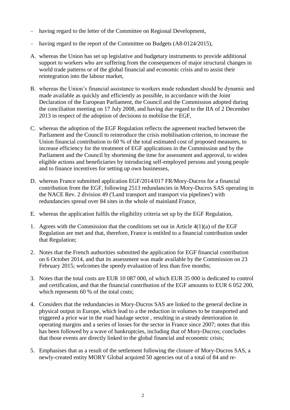- having regard to the letter of the Committee on Regional Development,
- having regard to the report of the Committee on Budgets (A8-0124/2015),
- A. whereas the Union has set up legislative and budgetary instruments to provide additional support to workers who are suffering from the consequences of major structural changes in world trade patterns or of the global financial and economic crisis and to assist their reintegration into the labour market,
- B. whereas the Union's financial assistance to workers made redundant should be dynamic and made available as quickly and efficiently as possible, in accordance with the Joint Declaration of the European Parliament, the Council and the Commission adopted during the conciliation meeting on 17 July 2008, and having due regard to the IIA of 2 December 2013 in respect of the adoption of decisions to mobilise the EGF,
- C. whereas the adoption of the EGF Regulation reflects the agreement reached between the Parliament and the Council to reintroduce the crisis mobilisation criterion, to increase the Union financial contribution to 60 % of the total estimated cost of proposed measures, to increase efficiency for the treatment of EGF applications in the Commission and by the Parliament and the Council by shortening the time for assessment and approval, to widen eligible actions and beneficiaries by introducing self-employed persons and young people and to finance incentives for setting up own businesses,
- D. whereas France submitted application EGF/2014/017 FR/Mory-Ducros for a financial contribution from the EGF, following 2513 redundancies in Mory-Ducros SAS operating in the NACE Rev. 2 division 49 ('Land transport and transport via pipelines') with redundancies spread over 84 sites in the whole of mainland France,
- E. whereas the application fulfils the eligibility criteria set up by the EGF Regulation,
- 1. Agrees with the Commission that the conditions set out in Article  $4(1)(a)$  of the EGF Regulation are met and that, therefore, France is entitled to a financial contribution under that Regulation;
- 2. Notes that the French authorities submitted the application for EGF financial contribution on 6 October 2014, and that its assessment was made available by the Commission on 23 February 2015; welcomes the speedy evaluation of less than five months;
- 3. Notes that the total costs are EUR 10 087 000, of which EUR 35 000 is dedicated to control and certification, and that the financial contribution of the EGF amounts to EUR 6 052 200, which represents 60 % of the total costs;
- 4. Considers that the redundancies in Mory-Ducros SAS are linked to the general decline in physical output in Europe, which lead to a the reduction in volumes to be transported and triggered a price war in the road haulage sector , resulting in a steady deterioration in operating margins and a series of losses for the sector in France since 2007; notes that this has been followed by a wave of bankruptcies, including that of Mory-Ducros; concludes that those events are directly linked to the global financial and economic crisis;
- 5. Emphasises that as a result of the settlement following the closure of Mory-Ducros SAS, a newly-created entity MORY Global acquired 50 agencies out of a total of 84 and re-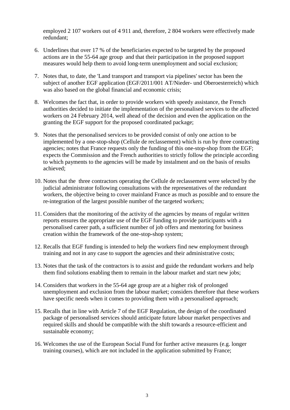employed 2 107 workers out of 4 911 and, therefore, 2 804 workers were effectively made redundant;

- 6. Underlines that over 17 % of the beneficiaries expected to be targeted by the proposed actions are in the 55-64 age group and that their participation in the proposed support measures would help them to avoid long-term unemployment and social exclusion;
- 7. Notes that, to date, the 'Land transport and transport via pipelines' sector has been the subject of another EGF application (EGF/2011/001 AT/Nieder- und Oberoesterreich) which was also based on the global financial and economic crisis;
- 8. Welcomes the fact that, in order to provide workers with speedy assistance, the French authorities decided to initiate the implementation of the personalised services to the affected workers on 24 February 2014, well ahead of the decision and even the application on the granting the EGF support for the proposed coordinated package;
- 9. Notes that the personalised services to be provided consist of only one action to be implemented by a one-stop-shop (Cellule de reclassement) which is run by three contracting agencies; notes that France requests only the funding of this one-stop-shop from the EGF; expects the Commission and the French authorities to strictly follow the principle according to which payments to the agencies will be made by instalment and on the basis of results achieved;
- 10. Notes that the three contractors operating the Cellule de reclassement were selected by the judicial administrator following consultations with the representatives of the redundant workers, the objective being to cover mainland France as much as possible and to ensure the re-integration of the largest possible number of the targeted workers;
- 11. Considers that the monitoring of the activity of the agencies by means of regular written reports ensures the appropriate use of the EGF funding to provide participants with a personalised career path, a sufficient number of job offers and mentoring for business creation within the framework of the one-stop-shop system;
- 12. Recalls that EGF funding is intended to help the workers find new employment through training and not in any case to support the agencies and their administrative costs;
- 13. Notes that the task of the contractors is to assist and guide the redundant workers and help them find solutions enabling them to remain in the labour market and start new jobs;
- 14. Considers that workers in the 55-64 age group are at a higher risk of prolonged unemployment and exclusion from the labour market; considers therefore that these workers have specific needs when it comes to providing them with a personalised approach;
- 15. Recalls that in line with Article 7 of the EGF Regulation, the design of the coordinated package of personalised services should anticipate future labour market perspectives and required skills and should be compatible with the shift towards a resource-efficient and sustainable economy;
- 16. Welcomes the use of the European Social Fund for further active measures (e.g. longer training courses), which are not included in the application submitted by France;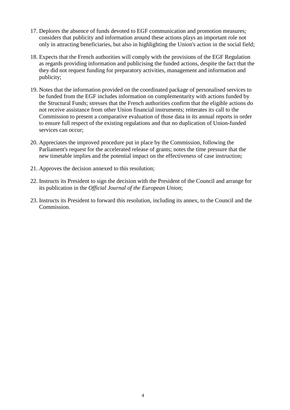- 17. Deplores the absence of funds devoted to EGF communication and promotion measures; considers that publicity and information around these actions plays an important role not only in attracting beneficiaries, but also in highlighting the Union's action in the social field;
- 18. Expects that the French authorities will comply with the provisions of the EGF Regulation as regards providing information and publicising the funded actions, despite the fact that the they did not request funding for preparatory activities, management and information and publicity;
- 19. Notes that the information provided on the coordinated package of personalised services to be funded from the EGF includes information on complementarity with actions funded by the Structural Funds; stresses that the French authorities confirm that the eligible actions do not receive assistance from other Union financial instruments; reiterates its call to the Commission to present a comparative evaluation of those data in its annual reports in order to ensure full respect of the existing regulations and that no duplication of Union-funded services can occur;
- 20. Appreciates the improved procedure put in place by the Commission, following the Parliament's request for the accelerated release of grants; notes the time pressure that the new timetable implies and the potential impact on the effectiveness of case instruction;
- 21. Approves the decision annexed to this resolution;
- 22. Instructs its President to sign the decision with the President of the Council and arrange for its publication in the *Official Journal of the European Union*;
- 23. Instructs its President to forward this resolution, including its annex, to the Council and the Commission.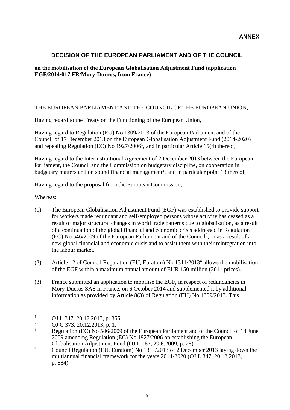# **DECISION OF THE EUROPEAN PARLIAMENT AND OF THE COUNCIL**

### **on the mobilisation of the European Globalisation Adjustment Fund (application EGF/2014/017 FR/Mory-Ducros, from France)**

### THE EUROPEAN PARLIAMENT AND THE COUNCIL OF THE EUROPEAN UNION,

Having regard to the Treaty on the Functioning of the European Union,

Having regard to Regulation (EU) No 1309/2013 of the European Parliament and of the Council of 17 December 2013 on the European Globalisation Adjustment Fund (2014-2020) and repealing Regulation (EC) No  $1927/2006<sup>1</sup>$ , and in particular Article 15(4) thereof,

Having regard to the Interinstitutional Agreement of 2 December 2013 between the European Parliament, the Council and the Commission on budgetary discipline, on cooperation in budgetary matters and on sound financial management<sup>2</sup>, and in particular point 13 thereof,

Having regard to the proposal from the European Commission,

Whereas:

- (1) The European Globalisation Adjustment Fund (EGF) was established to provide support for workers made redundant and self-employed persons whose activity has ceased as a result of major structural changes in world trade patterns due to globalisation, as a result of a continuation of the global financial and economic crisis addressed in Regulation  $(EC)$  No 546/2009 of the European Parliament and of the Council<sup>3</sup>, or as a result of a new global financial and economic crisis and to assist them with their reintegration into the labour market.
- (2) Article 12 of Council Regulation (EU, Euratom) No 1311/2013<sup>4</sup> allows the mobilisation of the EGF within a maximum annual amount of EUR 150 million (2011 prices).
- (3) France submitted an application to mobilise the EGF, in respect of redundancies in Mory-Ducros SAS in France, on 6 October 2014 and supplemented it by additional information as provided by Article 8(3) of Regulation (EU) No 1309/2013. This

 $\mathbf{1}$  $\frac{1}{2}$  OJ L 347, 20.12.2013, p. 855.

<sup>&</sup>lt;sup>2</sup> OJ C 373, 20.12.2013, p. 1.

<sup>3</sup> Regulation (EC) No 546/2009 of the European Parliament and of the Council of 18 June 2009 amending Regulation (EC) No 1927/2006 on establishing the European Globalisation Adjustment Fund (OJ L 167, 29.6.2009, p. 26).

<sup>&</sup>lt;sup>4</sup> Council Regulation (EU, Euratom) No 1311/2013 of 2 December 2013 laying down the multiannual financial framework for the years 2014-2020 (OJ L 347, 20.12.2013, p. 884).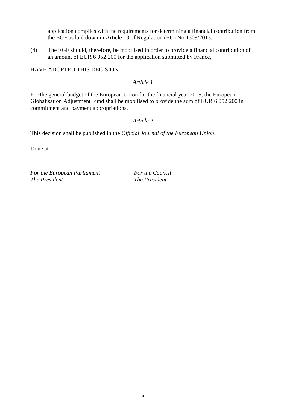application complies with the requirements for determining a financial contribution from the EGF as laid down in Article 13 of Regulation (EU) No 1309/2013.

(4) The EGF should, therefore, be mobilised in order to provide a financial contribution of an amount of EUR 6 052 200 for the application submitted by France,

HAVE ADOPTED THIS DECISION:

*Article 1*

For the general budget of the European Union for the financial year 2015, the European Globalisation Adjustment Fund shall be mobilised to provide the sum of EUR 6 052 200 in commitment and payment appropriations.

*Article 2*

This decision shall be published in the *Official Journal of the European Union*.

Done at

*For the European Parliament For the Council The President The President*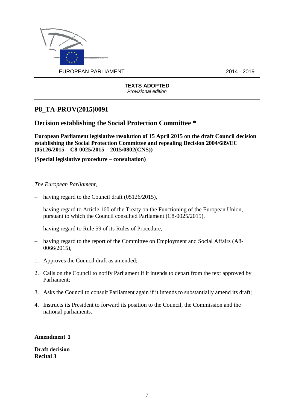

# **P8\_TA-PROV(2015)0091**

# **Decision establishing the Social Protection Committee \***

**European Parliament legislative resolution of 15 April 2015 on the draft Council decision establishing the Social Protection Committee and repealing Decision 2004/689/EC (05126/2015 – C8-0025/2015 – 2015/0802(CNS))**

**(Special legislative procedure – consultation)**

#### *The European Parliament*,

- having regard to the Council draft (05126/2015),
- having regard to Article 160 of the Treaty on the Functioning of the European Union, pursuant to which the Council consulted Parliament (C8-0025/2015),
- having regard to Rule 59 of its Rules of Procedure,
- having regard to the report of the Committee on Employment and Social Affairs (A8- 0066/2015),
- 1. Approves the Council draft as amended;
- 2. Calls on the Council to notify Parliament if it intends to depart from the text approved by Parliament;
- 3. Asks the Council to consult Parliament again if it intends to substantially amend its draft;
- 4. Instructs its President to forward its position to the Council, the Commission and the national parliaments.

**Amendment 1**

**Draft decision Recital 3**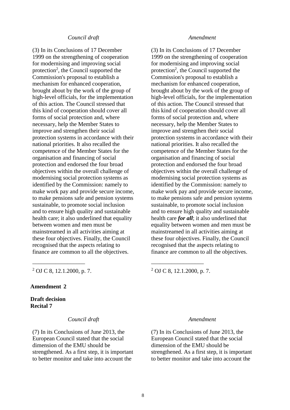#### *Council draft Amendment*

(3) In its Conclusions of 17 December 1999 on the strengthening of cooperation for modernising and improving social protection<sup>2</sup>, the Council supported the Commission's proposal to establish a mechanism for enhanced cooperation, brought about by the work of the group of high-level officials, for the implementation of this action. The Council stressed that this kind of cooperation should cover all forms of social protection and, where necessary, help the Member States to improve and strengthen their social protection systems in accordance with their national priorities. It also recalled the competence of the Member States for the organisation and financing of social protection and endorsed the four broad objectives within the overall challenge of modernising social protection systems as identified by the Commission: namely to make work pay and provide secure income, to make pensions safe and pension systems sustainable, to promote social inclusion and to ensure high quality and sustainable health care; it also underlined that equality between women and men must be mainstreamed in all activities aiming at these four objectives. Finally, the Council recognised that the aspects relating to finance are common to all the objectives.

(3) In its Conclusions of 17 December 1999 on the strengthening of cooperation for modernising and improving social protection<sup>2</sup>, the Council supported the Commission's proposal to establish a mechanism for enhanced cooperation, brought about by the work of the group of high-level officials, for the implementation of this action. The Council stressed that this kind of cooperation should cover all forms of social protection and, where necessary, help the Member States to improve and strengthen their social protection systems in accordance with their national priorities. It also recalled the competence of the Member States for the organisation and financing of social protection and endorsed the four broad objectives within the overall challenge of modernising social protection systems as identified by the Commission: namely to make work pay and provide secure income, to make pensions safe and pension systems sustainable, to promote social inclusion and to ensure high quality and sustainable health care *for all*; it also underlined that equality between women and men must be mainstreamed in all activities aiming at these four objectives. Finally, the Council recognised that the aspects relating to finance are common to all the objectives.

<sup>2</sup> OJ C 8, 12.1.2000, p. 7. <sup>2</sup> OJ C 8, 12.1.2000, p. 7.

#### **Amendment 2**

**Draft decision Recital 7**

#### *Council draft Amendment*

\_\_\_\_\_\_\_\_\_\_\_\_\_\_\_\_\_\_ \_\_\_\_\_\_\_\_\_\_\_\_\_\_\_\_\_\_

(7) In its Conclusions of June 2013, the European Council stated that the social dimension of the EMU should be strengthened. As a first step, it is important to better monitor and take into account the

(7) In its Conclusions of June 2013, the European Council stated that the social dimension of the EMU should be strengthened. As a first step, it is important to better monitor and take into account the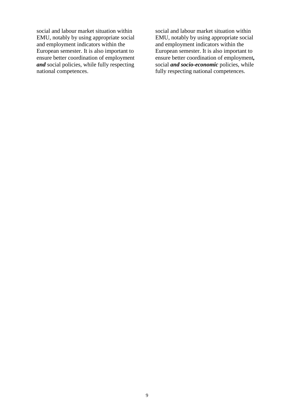social and labour market situation within EMU, notably by using appropriate social and employment indicators within the European semester. It is also important to ensure better coordination of employment *and* social policies, while fully respecting national competences.

social and labour market situation within EMU, notably by using appropriate social and employment indicators within the European semester. It is also important to ensure better coordination of employment*,* social *and socio-economic* policies, while fully respecting national competences.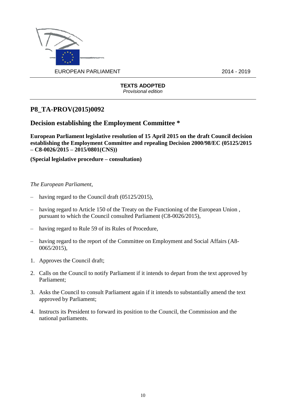

# **P8\_TA-PROV(2015)0092**

# **Decision establishing the Employment Committee \***

**European Parliament legislative resolution of 15 April 2015 on the draft Council decision establishing the Employment Committee and repealing Decision 2000/98/EC (05125/2015 – C8-0026/2015 – 2015/0801(CNS))**

**(Special legislative procedure – consultation)**

- having regard to the Council draft (05125/2015),
- having regard to Article 150 of the Treaty on the Functioning of the European Union , pursuant to which the Council consulted Parliament (C8-0026/2015),
- having regard to Rule 59 of its Rules of Procedure,
- having regard to the report of the Committee on Employment and Social Affairs (A8- 0065/2015),
- 1. Approves the Council draft;
- 2. Calls on the Council to notify Parliament if it intends to depart from the text approved by Parliament;
- 3. Asks the Council to consult Parliament again if it intends to substantially amend the text approved by Parliament;
- 4. Instructs its President to forward its position to the Council, the Commission and the national parliaments.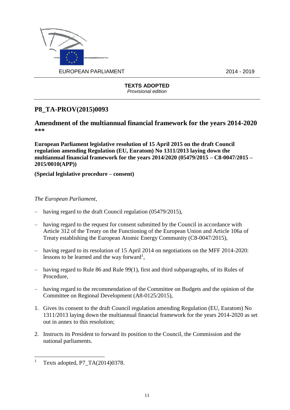

# **P8\_TA-PROV(2015)0093**

**Amendment of the multiannual financial framework for the years 2014-2020 \*\*\***

**European Parliament legislative resolution of 15 April 2015 on the draft Council regulation amending Regulation (EU, Euratom) No 1311/2013 laying down the multiannual financial framework for the years 2014/2020 (05479/2015 – C8-0047/2015 – 2015/0010(APP))**

**(Special legislative procedure – consent)**

- having regard to the draft Council regulation (05479/2015),
- having regard to the request for consent submitted by the Council in accordance with Article 312 of the Treaty on the Functioning of the European Union and Article 106a of Treaty establishing the European Atomic Energy Community (C8-0047/2015),
- having regard to its resolution of 15 April 2014 on negotiations on the MFF 2014-2020: lessons to be learned and the way forward<sup>1</sup>,
- having regard to Rule 86 and Rule 99(1), first and third subparagraphs, of its Rules of Procedure,
- having regard to the recommendation of the Committee on Budgets and the opinion of the Committee on Regional Development (A8-0125/2015),
- 1. Gives its consent to the draft Council regulation amending Regulation (EU, Euratom) No 1311/2013 laying down the multiannual financial framework for the years 2014-2020 as set out in annex to this resolution;
- 2. Instructs its President to forward its position to the Council, the Commission and the national parliaments.

 $\overline{a}$ <sup>1</sup> Texts adopted, P7\_TA(2014)0378.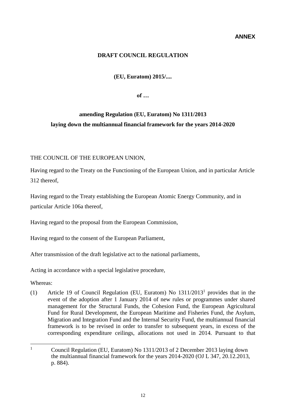#### **ANNEX**

#### **DRAFT COUNCIL REGULATION**

**(EU, Euratom) 2015/....**

**of …**

# **amending Regulation (EU, Euratom) No 1311/2013 laying down the multiannual financial framework for the years 2014-2020**

#### THE COUNCIL OF THE EUROPEAN UNION,

Having regard to the Treaty on the Functioning of the European Union, and in particular Article 312 thereof,

Having regard to the Treaty establishing the European Atomic Energy Community, and in particular Article 106a thereof,

Having regard to the proposal from the European Commission,

Having regard to the consent of the European Parliament,

After transmission of the draft legislative act to the national parliaments,

Acting in accordance with a special legislative procedure,

Whereas:

(1) Article 19 of Council Regulation (EU, Euratom) No 1311/2013<sup>1</sup> provides that in the event of the adoption after 1 January 2014 of new rules or programmes under shared management for the Structural Funds, the Cohesion Fund, the European Agricultural Fund for Rural Development, the European Maritime and Fisheries Fund, the Asylum, Migration and Integration Fund and the Internal Security Fund, the multiannual financial framework is to be revised in order to transfer to subsequent years, in excess of the corresponding expenditure ceilings, allocations not used in 2014. Pursuant to that

 $\mathbf{1}$ <sup>1</sup> Council Regulation (EU, Euratom) No 1311/2013 of 2 December 2013 laying down the multiannual financial framework for the years 2014-2020 (OJ L 347, 20.12.2013, p. 884).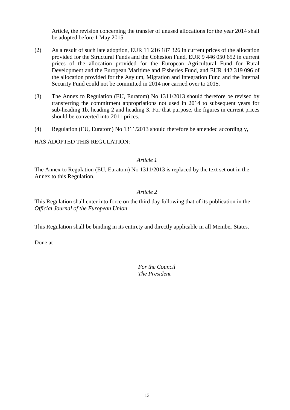Article, the revision concerning the transfer of unused allocations for the year 2014 shall be adopted before 1 May 2015.

- (2) As a result of such late adoption, EUR 11 216 187 326 in current prices of the allocation provided for the Structural Funds and the Cohesion Fund, EUR 9 446 050 652 in current prices of the allocation provided for the European Agricultural Fund for Rural Development and the European Maritime and Fisheries Fund, and EUR 442 319 096 of the allocation provided for the Asylum, Migration and Integration Fund and the Internal Security Fund could not be committed in 2014 nor carried over to 2015.
- (3) The Annex to Regulation (EU, Euratom) No 1311/2013 should therefore be revised by transferring the commitment appropriations not used in 2014 to subsequent years for sub-heading 1b, heading 2 and heading 3. For that purpose, the figures in current prices should be converted into 2011 prices.
- (4) Regulation (EU, Euratom) No 1311/2013 should therefore be amended accordingly,

HAS ADOPTED THIS REGULATION:

#### *Article 1*

The Annex to Regulation (EU, Euratom) No 1311/2013 is replaced by the text set out in the Annex to this Regulation.

#### *Article 2*

This Regulation shall enter into force on the third day following that of its publication in the *Official Journal of the European Union*.

This Regulation shall be binding in its entirety and directly applicable in all Member States.

Done at

*For the Council The President*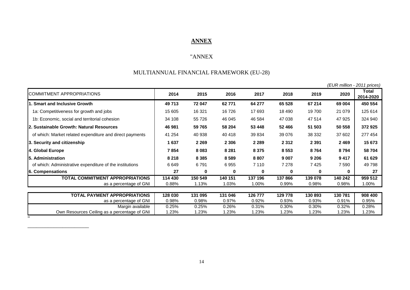# **ANNEX**

# "ANNEX

# MULTIANNUAL FINANCIAL FRAMEWORK (EU-28)

|                                                          |                  |                  |                  |                  |                  |                  |                  | (EUR million - 2011 prices) |
|----------------------------------------------------------|------------------|------------------|------------------|------------------|------------------|------------------|------------------|-----------------------------|
| COMMITMENT APPROPRIATIONS                                | 2014             | 2015             | 2016             | 2017             | 2018             | 2019             | 2020             | Total<br>2014-2020          |
| <b>Smart and Inclusive Growth</b>                        | 49713            | 72 047           | 62 771           | 64 277           | 65 528           | 67 214           | 69 004           | 450 554                     |
| 1a: Competitiveness for growth and jobs                  | 15 605           | 16 321           | 16726            | 17 693           | 18 490           | 19 700           | 21 0 79          | 125 614                     |
| 1b: Economic, social and territorial cohesion            | 34 108           | 55 726           | 46 045           | 46 584           | 47 038           | 47 514           | 47 925           | 324 940                     |
| 2. Sustainable Growth: Natural Resources                 | 46 981           | 59 765           | 58 204           | 53 448           | 52 466           | 51 503           | 50 558           | 372 925                     |
| of which: Market related expenditure and direct payments | 41 254           | 40 938           | 40 418           | 39 834           | 39 076           | 38 332           | 37 602           | 277 454                     |
| 3. Security and citizenship                              | 1637             | 2 2 6 9          | 2 3 0 6          | 2 2 8 9          | 2 3 1 2          | 2 3 9 1          | 2469             | 15 673                      |
| 4. Global Europe                                         | 7854             | 8 0 8 3          | 8 2 8 1          | 8 3 7 5          | 8 5 5 3          | 8764             | 8794             | 58 704                      |
| <b>5. Administration</b>                                 | 8 2 1 8          | 8 3 8 5          | 8589             | 8807             | 9 0 0 7          | 9 2 0 6          | 9417             | 61 629                      |
| of which: Administrative expenditure of the institutions | 6649             | 6791             | 6955             | 7 1 1 0          | 7 2 7 8          | 7425             | 7 5 9 0          | 49 798                      |
| 6. Compensations                                         | 27               | 0                | 0                | 0                | $\bf{0}$         | 0                | $\bf{0}$         | 27                          |
| <b>TOTAL COMMITMENT APPROPRIATIONS</b>                   | 114 430          | 150 549          | 140 151          | 137 196          | 137 866          | 139 078          | 140 242          | 959 512                     |
| as a percentage of GNI                                   | 0.88%            | 1.13%            | 1.03%            | 1.00%            | 0.99%            | 0.98%            | 0.98%            | 1.00%                       |
|                                                          |                  |                  |                  |                  |                  |                  |                  |                             |
| TOTAL PAYMENT APPROPRIATIONS<br>as a percentage of GNI   | 128 030<br>0.98% | 131 095<br>0.98% | 131 046<br>0.97% | 126 777<br>0.92% | 129 778<br>0.93% | 130 893<br>0.93% | 130 781<br>0.91% | 908 400<br>0.95%            |
| Margin available                                         | 0.25%            | 0.25%            | 0.26%            | 0.31%            | 0.30%            | 0.30%            | 0.32%            | 0.28%                       |
| Own Resources Ceiling as a percentage of GNI             | .23%             | 1.23%            | 1.23%            | 1.23%            | 1.23%            | 1.23%            | 1.23%            | 1.23%                       |

14

\_\_\_\_\_\_\_\_\_\_\_\_\_\_\_\_\_\_\_\_\_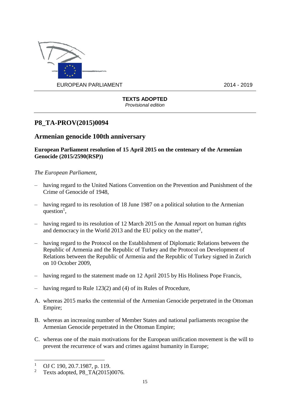

# **P8\_TA-PROV(2015)0094**

# **Armenian genocide 100th anniversary**

#### **European Parliament resolution of 15 April 2015 on the centenary of the Armenian Genocide (2015/2590(RSP))**

*The European Parliament*,

- having regard to the United Nations Convention on the Prevention and Punishment of the Crime of Genocide of 1948,
- having regard to its resolution of 18 June 1987 on a political solution to the Armenian question<sup>1</sup>,
- having regard to its resolution of 12 March 2015 on the Annual report on human rights and democracy in the World 2013 and the EU policy on the matter<sup>2</sup>,
- having regard to the Protocol on the Establishment of Diplomatic Relations between the Republic of Armenia and the Republic of Turkey and the Protocol on Development of Relations between the Republic of Armenia and the Republic of Turkey signed in Zurich on 10 October 2009,
- having regard to the statement made on 12 April 2015 by His Holiness Pope Francis,
- having regard to Rule 123(2) and (4) of its Rules of Procedure,
- A. whereas 2015 marks the centennial of the Armenian Genocide perpetrated in the Ottoman Empire;
- B. whereas an increasing number of Member States and national parliaments recognise the Armenian Genocide perpetrated in the Ottoman Empire;
- C. whereas one of the main motivations for the European unification movement is the will to prevent the recurrence of wars and crimes against humanity in Europe;

<u>.</u>

<sup>&</sup>lt;sup>1</sup> OJ C 190, 20.7.1987, p. 119.

<sup>2</sup> Texts adopted, P8\_TA(2015)0076.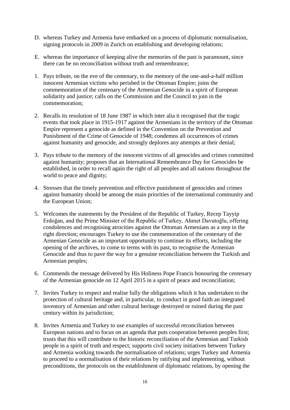- D. whereas Turkey and Armenia have embarked on a process of diplomatic normalisation, signing protocols in 2009 in Zurich on establishing and developing relations;
- E. whereas the importance of keeping alive the memories of the past is paramount, since there can be no reconciliation without truth and remembrance;
- 1. Pays tribute, on the eve of the centenary, to the memory of the one-and-a-half million innocent Armenian victims who perished in the Ottoman Empire; joins the commemoration of the centenary of the Armenian Genocide in a spirit of European solidarity and justice; calls on the Commission and the Council to join in the commemoration;
- 2. Recalls its resolution of 18 June 1987 in which inter alia it recognised that the tragic events that took place in 1915-1917 against the Armenians in the territory of the Ottoman Empire represent a genocide as defined in the Convention on the Prevention and Punishment of the Crime of Genocide of 1948; condemns all occurrences of crimes against humanity and genocide, and strongly deplores any attempts at their denial;
- 3. Pays tribute to the memory of the innocent victims of all genocides and crimes committed against humanity; proposes that an International Remembrance Day for Genocides be established, in order to recall again the right of all peoples and all nations throughout the world to peace and dignity;
- 4. Stresses that the timely prevention and effective punishment of genocides and crimes against humanity should be among the main priorities of the international community and the European Union;
- 5. Welcomes the statements by the President of the Republic of Turkey, Recep Tayyip Erdoğan, and the Prime Minister of the Republic of Turkey, Ahmet Davutoğlu, offering condolences and recognising atrocities against the Ottoman Armenians as a step in the right direction; encourages Turkey to use the commemoration of the centenary of the Armenian Genocide as an important opportunity to continue its efforts, including the opening of the archives, to come to terms with its past, to recognise the Armenian Genocide and thus to pave the way for a genuine reconciliation between the Turkish and Armenian peoples;
- 6. Commends the message delivered by His Holiness Pope Francis honouring the centenary of the Armenian genocide on 12 April 2015 in a spirit of peace and reconciliation;
- 7. Invites Turkey to respect and realise fully the obligations which it has undertaken to the protection of cultural heritage and, in particular, to conduct in good faith an integrated inventory of Armenian and other cultural heritage destroyed or ruined during the past century within its jurisdiction;
- 8. Invites Armenia and Turkey to use examples of successful reconciliation between European nations and to focus on an agenda that puts cooperation between peoples first; trusts that this will contribute to the historic reconciliation of the Armenian and Turkish people in a spirit of truth and respect; supports civil society initiatives between Turkey and Armenia working towards the normalisation of relations; urges Turkey and Armenia to proceed to a normalisation of their relations by ratifying and implementing, without preconditions, the protocols on the establishment of diplomatic relations, by opening the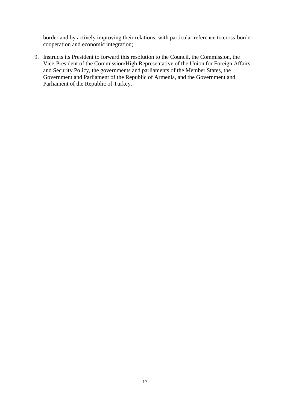border and by actively improving their relations, with particular reference to cross-border cooperation and economic integration;

9. Instructs its President to forward this resolution to the Council, the Commission, the Vice-President of the Commission/High Representative of the Union for Foreign Affairs and Security Policy, the governments and parliaments of the Member States, the Government and Parliament of the Republic of Armenia, and the Government and Parliament of the Republic of Turkey.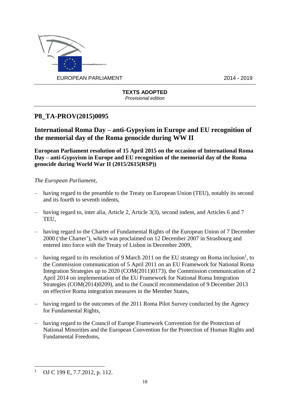

# **P8\_TA-PROV(2015)0095**

**International Roma Day – anti-Gypsyism in Europe and EU recognition of the memorial day of the Roma genocide during WW II**

**European Parliament resolution of 15 April 2015 on the occasion of International Roma Day – anti-Gypsyism in Europe and EU recognition of the memorial day of the Roma genocide during World War II (2015/2615(RSP))**

- having regard to the preamble to the Treaty on European Union (TEU), notably its second and its fourth to seventh indents,
- having regard to, inter alia, Article 2, Article 3(3), second indent, and Articles 6 and 7 TEU,
- having regard to the Charter of Fundamental Rights of the European Union of 7 December 2000 ('the Charter'), which was proclaimed on 12 December 2007 in Strasbourg and entered into force with the Treaty of Lisbon in December 2009,
- having regard to its resolution of 9 March 2011 on the EU strategy on Roma inclusion<sup>1</sup>, to the Commission communication of 5 April 2011 on an EU Framework for National Roma Integration Strategies up to 2020 (COM(2011)0173), the Commission communication of 2 April 2014 on implementation of the EU Framework for National Roma Integration Strategies (COM(2014)0209), and to the Council recommendation of 9 December 2013 on effective Roma integration measures in the Member States,
- having regard to the outcomes of the 2011 Roma Pilot Survey conducted by the Agency for Fundamental Rights,
- having regard to the Council of Europe Framework Convention for the Protection of National Minorities and the European Convention for the Protection of Human Rights and Fundamental Freedoms,

<sup>1</sup> <sup>1</sup> OJ C 199 E, 7.7.2012, p. 112.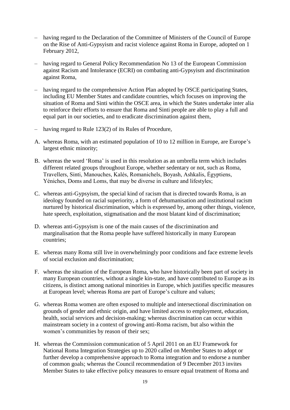- having regard to the Declaration of the Committee of Ministers of the Council of Europe on the Rise of Anti-Gypsyism and racist violence against Roma in Europe, adopted on 1 February 2012,
- having regard to General Policy Recommendation No 13 of the European Commission against Racism and Intolerance (ECRI) on combating anti-Gypsyism and discrimination against Roma,
- having regard to the comprehensive Action Plan adopted by OSCE participating States, including EU Member States and candidate countries, which focuses on improving the situation of Roma and Sinti within the OSCE area, in which the States undertake inter alia to reinforce their efforts to ensure that Roma and Sinti people are able to play a full and equal part in our societies, and to eradicate discrimination against them,
- having regard to Rule 123(2) of its Rules of Procedure,
- A. whereas Roma, with an estimated population of 10 to 12 million in Europe, are Europe's largest ethnic minority;
- B. whereas the word 'Roma' is used in this resolution as an umbrella term which includes different related groups throughout Europe, whether sedentary or not, such as Roma, Travellers, Sinti, Manouches, Kalés, Romanichels, Boyash, Ashkalis, Égyptiens, Yéniches, Doms and Loms, that may be diverse in culture and lifestyles;
- C. whereas anti-Gypsyism, the special kind of racism that is directed towards Roma, is an ideology founded on racial superiority, a form of dehumanisation and institutional racism nurtured by historical discrimination, which is expressed by, among other things, violence, hate speech, exploitation, stigmatisation and the most blatant kind of discrimination;
- D. whereas anti-Gypsyism is one of the main causes of the discrimination and marginalisation that the Roma people have suffered historically in many European countries;
- E. whereas many Roma still live in overwhelmingly poor conditions and face extreme levels of social exclusion and discrimination;
- F. whereas the situation of the European Roma, who have historically been part of society in many European countries, without a single kin-state, and have contributed to Europe as its citizens, is distinct among national minorities in Europe, which justifies specific measures at European level; whereas Roma are part of Europe's culture and values;
- G. whereas Roma women are often exposed to multiple and intersectional discrimination on grounds of gender and ethnic origin, and have limited access to employment, education, health, social services and decision-making; whereas discrimination can occur within mainstream society in a context of growing anti-Roma racism, but also within the women's communities by reason of their sex;
- H. whereas the Commission communication of 5 April 2011 on an EU Framework for National Roma Integration Strategies up to 2020 called on Member States to adopt or further develop a comprehensive approach to Roma integration and to endorse a number of common goals; whereas the Council recommendation of 9 December 2013 invites Member States to take effective policy measures to ensure equal treatment of Roma and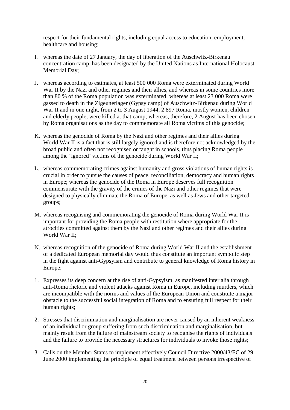respect for their fundamental rights, including equal access to education, employment, healthcare and housing;

- I. whereas the date of 27 January, the day of liberation of the Auschwitz-Birkenau concentration camp, has been designated by the United Nations as International Holocaust Memorial Day;
- J. whereas according to estimates, at least 500 000 Roma were exterminated during World War II by the Nazi and other regimes and their allies, and whereas in some countries more than 80 % of the Roma population was exterminated; whereas at least 23 000 Roma were gassed to death in the Zigeunerlager (Gypsy camp) of Auschwitz-Birkenau during World War II and in one night, from 2 to 3 August 1944, 2 897 Roma, mostly women, children and elderly people, were killed at that camp; whereas, therefore, 2 August has been chosen by Roma organisations as the day to commemorate all Roma victims of this genocide;
- K. whereas the genocide of Roma by the Nazi and other regimes and their allies during World War II is a fact that is still largely ignored and is therefore not acknowledged by the broad public and often not recognised or taught in schools, thus placing Roma people among the 'ignored' victims of the genocide during World War II;
- L. whereas commemorating crimes against humanity and gross violations of human rights is crucial in order to pursue the causes of peace, reconciliation, democracy and human rights in Europe; whereas the genocide of the Roma in Europe deserves full recognition commensurate with the gravity of the crimes of the Nazi and other regimes that were designed to physically eliminate the Roma of Europe, as well as Jews and other targeted groups;
- M. whereas recognising and commemorating the genocide of Roma during World War II is important for providing the Roma people with restitution where appropriate for the atrocities committed against them by the Nazi and other regimes and their allies during World War II;
- N. whereas recognition of the genocide of Roma during World War II and the establishment of a dedicated European memorial day would thus constitute an important symbolic step in the fight against anti-Gypsyism and contribute to general knowledge of Roma history in Europe;
- 1. Expresses its deep concern at the rise of anti-Gypsyism, as manifested inter alia through anti-Roma rhetoric and violent attacks against Roma in Europe, including murders, which are incompatible with the norms and values of the European Union and constitute a major obstacle to the successful social integration of Roma and to ensuring full respect for their human rights;
- 2. Stresses that discrimination and marginalisation are never caused by an inherent weakness of an individual or group suffering from such discrimination and marginalisation, but mainly result from the failure of mainstream society to recognise the rights of individuals and the failure to provide the necessary structures for individuals to invoke those rights;
- 3. Calls on the Member States to implement effectively Council Directive 2000/43/EC of 29 June 2000 implementing the principle of equal treatment between persons irrespective of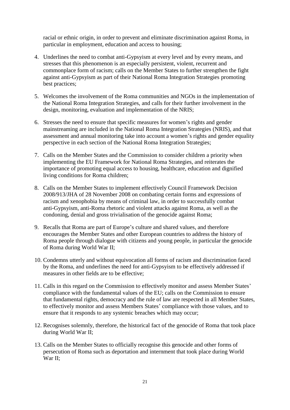racial or ethnic origin, in order to prevent and eliminate discrimination against Roma, in particular in employment, education and access to housing;

- 4. Underlines the need to combat anti-Gypsyism at every level and by every means, and stresses that this phenomenon is an especially persistent, violent, recurrent and commonplace form of racism; calls on the Member States to further strengthen the fight against anti-Gypsyism as part of their National Roma Integration Strategies promoting best practices;
- 5. Welcomes the involvement of the Roma communities and NGOs in the implementation of the National Roma Integration Strategies, and calls for their further involvement in the design, monitoring, evaluation and implementation of the NRIS;
- 6. Stresses the need to ensure that specific measures for women's rights and gender mainstreaming are included in the National Roma Integration Strategies (NRIS), and that assessment and annual monitoring take into account a women's rights and gender equality perspective in each section of the National Roma Integration Strategies;
- 7. Calls on the Member States and the Commission to consider children a priority when implementing the EU Framework for National Roma Strategies, and reiterates the importance of promoting equal access to housing, healthcare, education and dignified living conditions for Roma children;
- 8. Calls on the Member States to implement effectively Council Framework Decision 2008/913/JHA of 28 November 2008 on combating certain forms and expressions of racism and xenophobia by means of criminal law, in order to successfully combat anti-Gypsyism, anti-Roma rhetoric and violent attacks against Roma, as well as the condoning, denial and gross trivialisation of the genocide against Roma;
- 9. Recalls that Roma are part of Europe's culture and shared values, and therefore encourages the Member States and other European countries to address the history of Roma people through dialogue with citizens and young people, in particular the genocide of Roma during World War II;
- 10. Condemns utterly and without equivocation all forms of racism and discrimination faced by the Roma, and underlines the need for anti-Gypsyism to be effectively addressed if measures in other fields are to be effective;
- 11. Calls in this regard on the Commission to effectively monitor and assess Member States' compliance with the fundamental values of the EU; calls on the Commission to ensure that fundamental rights, democracy and the rule of law are respected in all Member States, to effectively monitor and assess Members States' compliance with those values, and to ensure that it responds to any systemic breaches which may occur;
- 12. Recognises solemnly, therefore, the historical fact of the genocide of Roma that took place during World War II;
- 13. Calls on the Member States to officially recognise this genocide and other forms of persecution of Roma such as deportation and internment that took place during World War II;